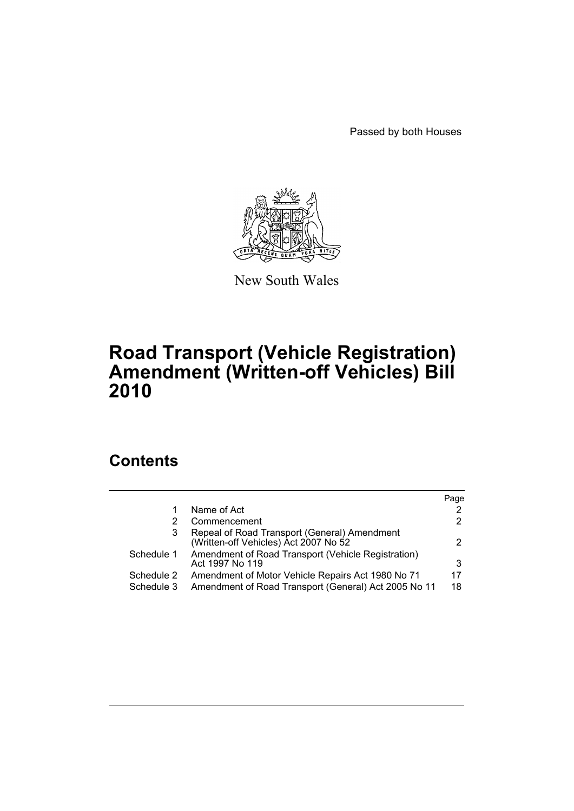Passed by both Houses



New South Wales

# **Road Transport (Vehicle Registration) Amendment (Written-off Vehicles) Bill 2010**

# **Contents**

|            |                                                                                       | Page          |
|------------|---------------------------------------------------------------------------------------|---------------|
|            | Name of Act                                                                           |               |
|            | Commencement                                                                          | 2             |
| 3          | Repeal of Road Transport (General) Amendment<br>(Written-off Vehicles) Act 2007 No 52 | $\mathcal{P}$ |
| Schedule 1 | Amendment of Road Transport (Vehicle Registration)<br>Act 1997 No 119                 | 3             |
| Schedule 2 | Amendment of Motor Vehicle Repairs Act 1980 No 71                                     | 17            |
| Schedule 3 | Amendment of Road Transport (General) Act 2005 No 11                                  | 18            |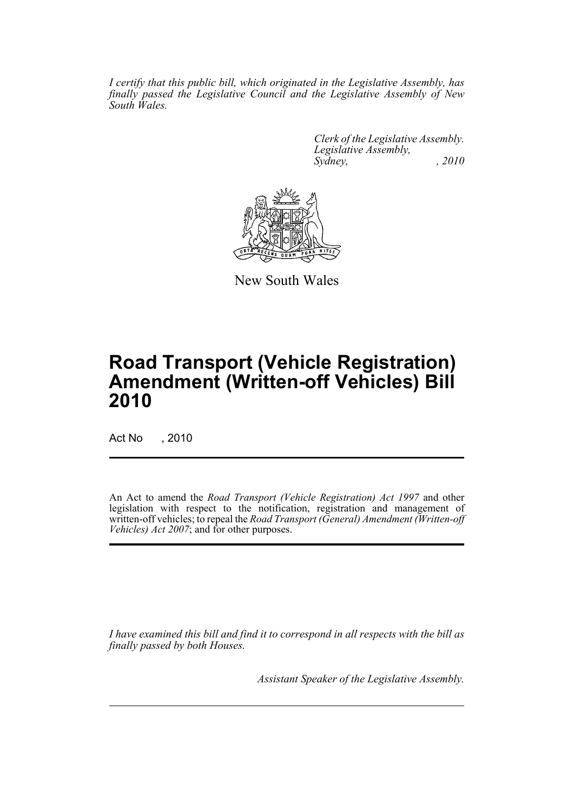*I certify that this public bill, which originated in the Legislative Assembly, has finally passed the Legislative Council and the Legislative Assembly of New South Wales.*

> *Clerk of the Legislative Assembly. Legislative Assembly, Sydney, , 2010*



New South Wales

# **Road Transport (Vehicle Registration) Amendment (Written-off Vehicles) Bill 2010**

Act No , 2010

An Act to amend the *Road Transport (Vehicle Registration) Act 1997* and other legislation with respect to the notification, registration and management of written-off vehicles; to repeal the *Road Transport (General) Amendment (Written-off Vehicles) Act 2007*; and for other purposes.

*I have examined this bill and find it to correspond in all respects with the bill as finally passed by both Houses.*

*Assistant Speaker of the Legislative Assembly.*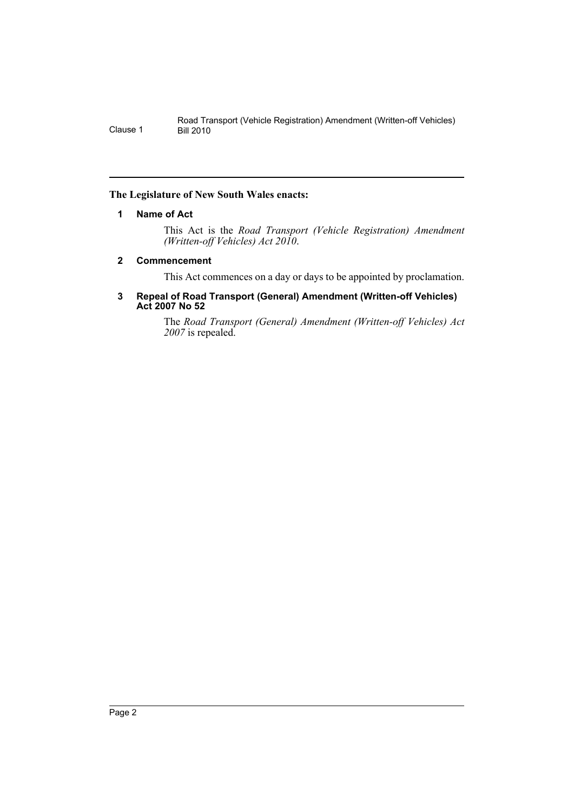## <span id="page-2-0"></span>**The Legislature of New South Wales enacts:**

## **1 Name of Act**

This Act is the *Road Transport (Vehicle Registration) Amendment (Written-off Vehicles) Act 2010*.

## <span id="page-2-1"></span>**2 Commencement**

This Act commences on a day or days to be appointed by proclamation.

#### <span id="page-2-2"></span>**3 Repeal of Road Transport (General) Amendment (Written-off Vehicles) Act 2007 No 52**

The *Road Transport (General) Amendment (Written-off Vehicles) Act 2007* is repealed.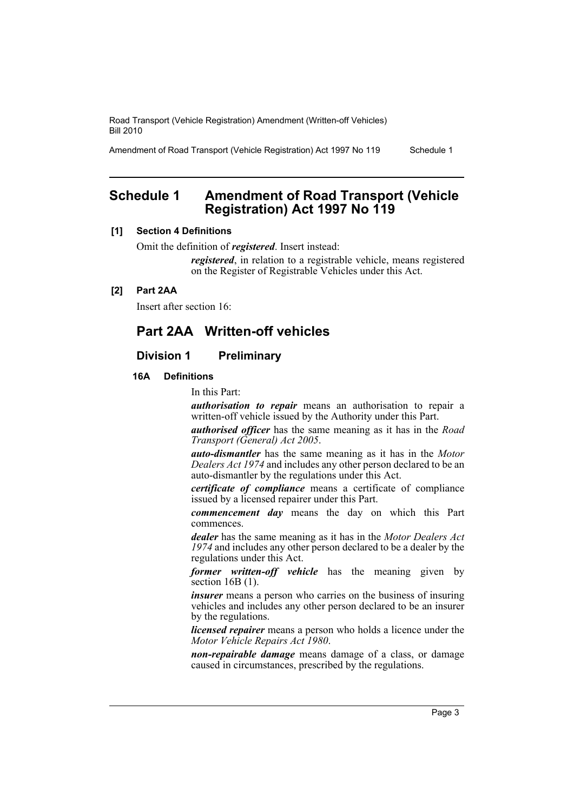Amendment of Road Transport (Vehicle Registration) Act 1997 No 119 Schedule 1

# <span id="page-3-0"></span>**Schedule 1 Amendment of Road Transport (Vehicle Registration) Act 1997 No 119**

## **[1] Section 4 Definitions**

Omit the definition of *registered*. Insert instead:

*registered*, in relation to a registrable vehicle, means registered on the Register of Registrable Vehicles under this Act.

## **[2] Part 2AA**

Insert after section 16:

## **Part 2AA Written-off vehicles**

## **Division 1 Preliminary**

## **16A Definitions**

In this Part:

*authorisation to repair* means an authorisation to repair a written-off vehicle issued by the Authority under this Part.

*authorised officer* has the same meaning as it has in the *Road Transport (General) Act 2005*.

*auto-dismantler* has the same meaning as it has in the *Motor Dealers Act 1974* and includes any other person declared to be an auto-dismantler by the regulations under this Act.

*certificate of compliance* means a certificate of compliance issued by a licensed repairer under this Part.

*commencement day* means the day on which this Part commences.

*dealer* has the same meaning as it has in the *Motor Dealers Act 1974* and includes any other person declared to be a dealer by the regulations under this Act.

*former written-off vehicle* has the meaning given by section 16B (1).

*insurer* means a person who carries on the business of insuring vehicles and includes any other person declared to be an insurer by the regulations.

*licensed repairer* means a person who holds a licence under the *Motor Vehicle Repairs Act 1980*.

*non-repairable damage* means damage of a class, or damage caused in circumstances, prescribed by the regulations.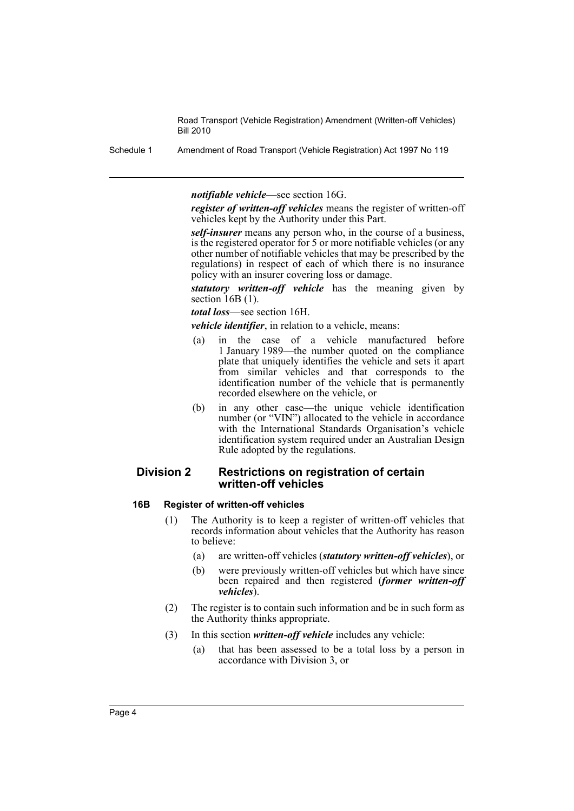Schedule 1 Amendment of Road Transport (Vehicle Registration) Act 1997 No 119

*notifiable vehicle*—see section 16G.

*register of written-off vehicles* means the register of written-off vehicles kept by the Authority under this Part.

*self-insurer* means any person who, in the course of a business, is the registered operator for 5 or more notifiable vehicles (or any other number of notifiable vehicles that may be prescribed by the regulations) in respect of each of which there is no insurance policy with an insurer covering loss or damage.

*statutory written-off vehicle* has the meaning given by section 16B (1).

*total loss*—see section 16H.

*vehicle identifier*, in relation to a vehicle, means:

- (a) in the case of a vehicle manufactured before 1 January 1989—the number quoted on the compliance plate that uniquely identifies the vehicle and sets it apart from similar vehicles and that corresponds to the identification number of the vehicle that is permanently recorded elsewhere on the vehicle, or
- (b) in any other case—the unique vehicle identification number (or "VIN") allocated to the vehicle in accordance with the International Standards Organisation's vehicle identification system required under an Australian Design Rule adopted by the regulations.

## **Division 2 Restrictions on registration of certain written-off vehicles**

#### **16B Register of written-off vehicles**

- (1) The Authority is to keep a register of written-off vehicles that records information about vehicles that the Authority has reason to believe:
	- (a) are written-off vehicles (*statutory written-off vehicles*), or
	- (b) were previously written-off vehicles but which have since been repaired and then registered (*former written-off vehicles*).
- (2) The register is to contain such information and be in such form as the Authority thinks appropriate.
- (3) In this section *written-off vehicle* includes any vehicle:
	- (a) that has been assessed to be a total loss by a person in accordance with Division 3, or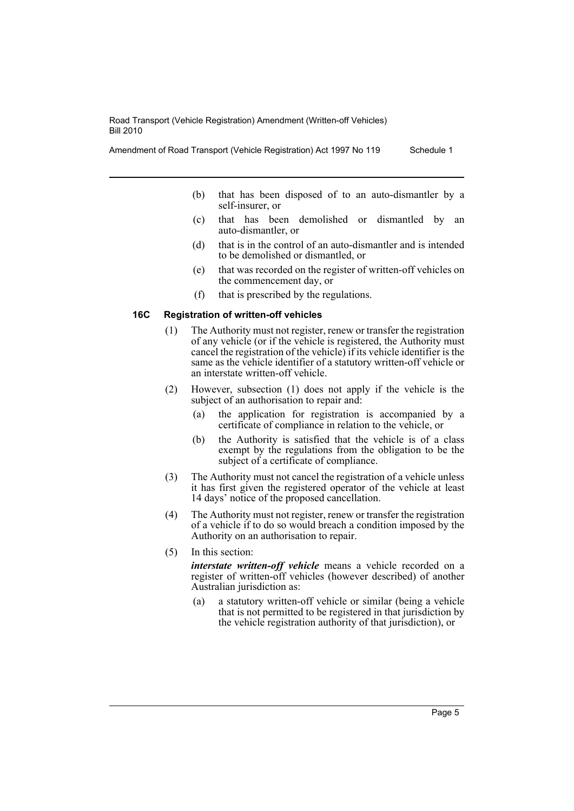- Amendment of Road Transport (Vehicle Registration) Act 1997 No 119 Schedule 1
	- (b) that has been disposed of to an auto-dismantler by a self-insurer, or
	- (c) that has been demolished or dismantled by an auto-dismantler, or
	- (d) that is in the control of an auto-dismantler and is intended to be demolished or dismantled, or
	- (e) that was recorded on the register of written-off vehicles on the commencement day, or
	- (f) that is prescribed by the regulations.

#### **16C Registration of written-off vehicles**

- (1) The Authority must not register, renew or transfer the registration of any vehicle (or if the vehicle is registered, the Authority must cancel the registration of the vehicle) if its vehicle identifier is the same as the vehicle identifier of a statutory written-off vehicle or an interstate written-off vehicle.
- (2) However, subsection (1) does not apply if the vehicle is the subject of an authorisation to repair and:
	- (a) the application for registration is accompanied by a certificate of compliance in relation to the vehicle, or
	- (b) the Authority is satisfied that the vehicle is of a class exempt by the regulations from the obligation to be the subject of a certificate of compliance.
- (3) The Authority must not cancel the registration of a vehicle unless it has first given the registered operator of the vehicle at least 14 days' notice of the proposed cancellation.
- (4) The Authority must not register, renew or transfer the registration of a vehicle if to do so would breach a condition imposed by the Authority on an authorisation to repair.
- (5) In this section:

*interstate written-off vehicle* means a vehicle recorded on a register of written-off vehicles (however described) of another Australian jurisdiction as:

(a) a statutory written-off vehicle or similar (being a vehicle that is not permitted to be registered in that jurisdiction by the vehicle registration authority of that jurisdiction), or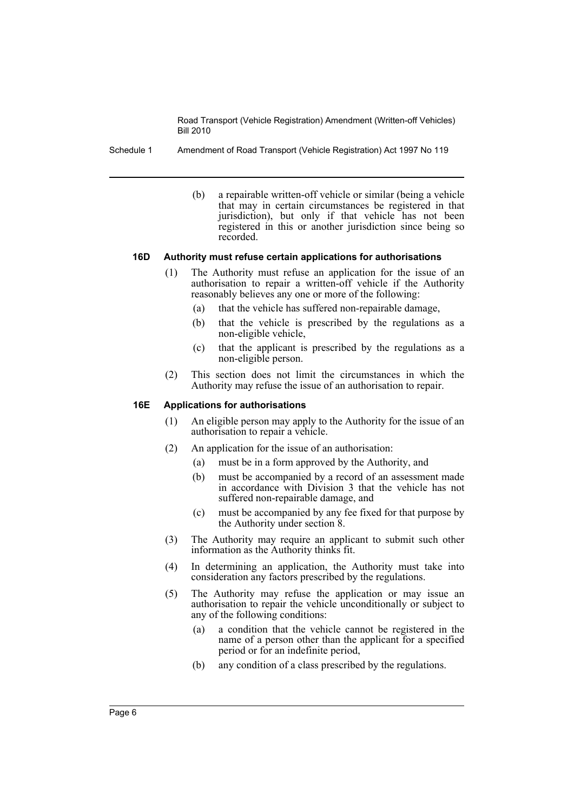Schedule 1 Amendment of Road Transport (Vehicle Registration) Act 1997 No 119

(b) a repairable written-off vehicle or similar (being a vehicle that may in certain circumstances be registered in that jurisdiction), but only if that vehicle has not been registered in this or another jurisdiction since being so recorded.

#### **16D Authority must refuse certain applications for authorisations**

- (1) The Authority must refuse an application for the issue of an authorisation to repair a written-off vehicle if the Authority reasonably believes any one or more of the following:
	- (a) that the vehicle has suffered non-repairable damage,
	- (b) that the vehicle is prescribed by the regulations as a non-eligible vehicle,
	- (c) that the applicant is prescribed by the regulations as a non-eligible person.
- (2) This section does not limit the circumstances in which the Authority may refuse the issue of an authorisation to repair.

#### **16E Applications for authorisations**

- (1) An eligible person may apply to the Authority for the issue of an authorisation to repair a vehicle.
- (2) An application for the issue of an authorisation:
	- (a) must be in a form approved by the Authority, and
	- (b) must be accompanied by a record of an assessment made in accordance with Division 3 that the vehicle has not suffered non-repairable damage, and
	- (c) must be accompanied by any fee fixed for that purpose by the Authority under section 8.
- (3) The Authority may require an applicant to submit such other information as the Authority thinks fit.
- (4) In determining an application, the Authority must take into consideration any factors prescribed by the regulations.
- (5) The Authority may refuse the application or may issue an authorisation to repair the vehicle unconditionally or subject to any of the following conditions:
	- (a) a condition that the vehicle cannot be registered in the name of a person other than the applicant for a specified period or for an indefinite period,
	- (b) any condition of a class prescribed by the regulations.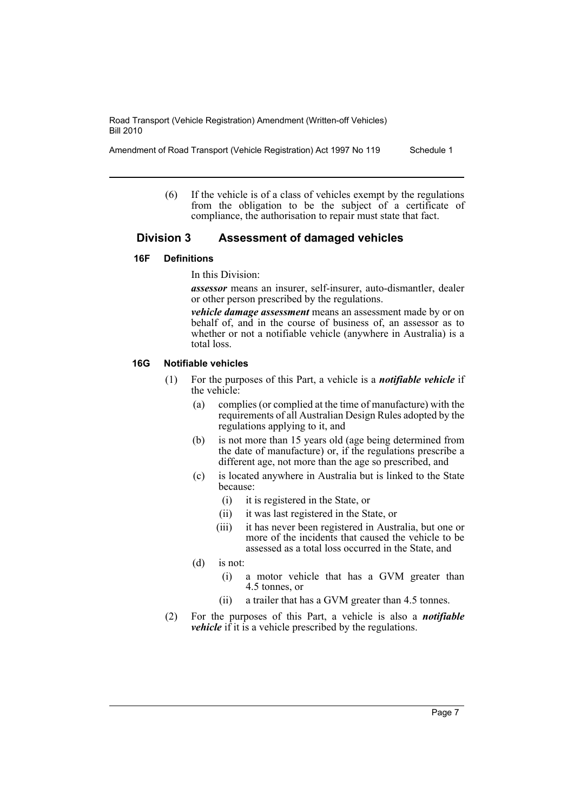Amendment of Road Transport (Vehicle Registration) Act 1997 No 119 Schedule 1

(6) If the vehicle is of a class of vehicles exempt by the regulations from the obligation to be the subject of a certificate of compliance, the authorisation to repair must state that fact.

## **Division 3 Assessment of damaged vehicles**

## **16F Definitions**

In this Division:

*assessor* means an insurer, self-insurer, auto-dismantler, dealer or other person prescribed by the regulations.

*vehicle damage assessment* means an assessment made by or on behalf of, and in the course of business of, an assessor as to whether or not a notifiable vehicle (anywhere in Australia) is a total loss.

## **16G Notifiable vehicles**

- (1) For the purposes of this Part, a vehicle is a *notifiable vehicle* if the vehicle:
	- (a) complies (or complied at the time of manufacture) with the requirements of all Australian Design Rules adopted by the regulations applying to it, and
	- (b) is not more than 15 years old (age being determined from the date of manufacture) or, if the regulations prescribe a different age, not more than the age so prescribed, and
	- (c) is located anywhere in Australia but is linked to the State because:
		- (i) it is registered in the State, or
		- (ii) it was last registered in the State, or
		- (iii) it has never been registered in Australia, but one or more of the incidents that caused the vehicle to be assessed as a total loss occurred in the State, and
	- (d) is not:
		- (i) a motor vehicle that has a GVM greater than 4.5 tonnes, or
		- (ii) a trailer that has a GVM greater than 4.5 tonnes.
- (2) For the purposes of this Part, a vehicle is also a *notifiable vehicle* if it is a vehicle prescribed by the regulations.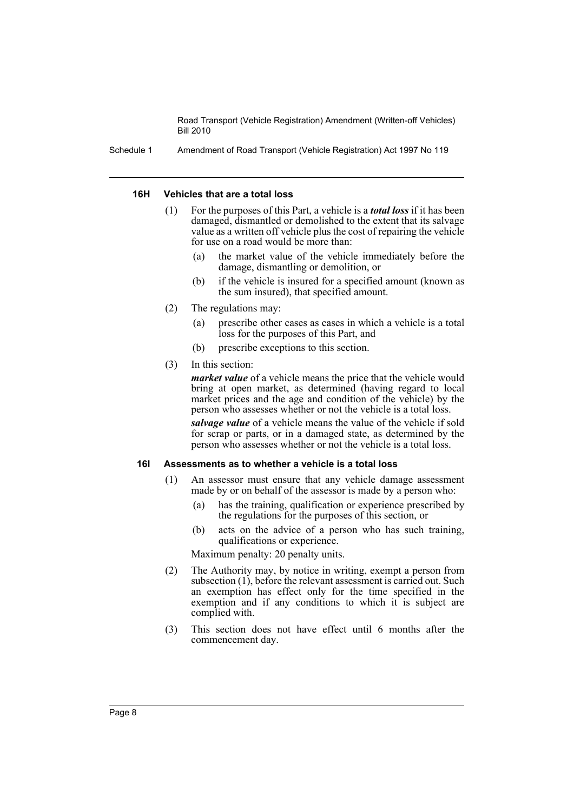Schedule 1 Amendment of Road Transport (Vehicle Registration) Act 1997 No 119

#### **16H Vehicles that are a total loss**

- (1) For the purposes of this Part, a vehicle is a *total loss* if it has been damaged, dismantled or demolished to the extent that its salvage value as a written off vehicle plus the cost of repairing the vehicle for use on a road would be more than:
	- (a) the market value of the vehicle immediately before the damage, dismantling or demolition, or
	- (b) if the vehicle is insured for a specified amount (known as the sum insured), that specified amount.
- (2) The regulations may:
	- (a) prescribe other cases as cases in which a vehicle is a total loss for the purposes of this Part, and
	- (b) prescribe exceptions to this section.
- (3) In this section:

*market value* of a vehicle means the price that the vehicle would bring at open market, as determined (having regard to local market prices and the age and condition of the vehicle) by the person who assesses whether or not the vehicle is a total loss.

*salvage value* of a vehicle means the value of the vehicle if sold for scrap or parts, or in a damaged state, as determined by the person who assesses whether or not the vehicle is a total loss.

#### **16I Assessments as to whether a vehicle is a total loss**

- (1) An assessor must ensure that any vehicle damage assessment made by or on behalf of the assessor is made by a person who:
	- (a) has the training, qualification or experience prescribed by the regulations for the purposes of this section, or
	- (b) acts on the advice of a person who has such training, qualifications or experience.

Maximum penalty: 20 penalty units.

- (2) The Authority may, by notice in writing, exempt a person from subsection (1), before the relevant assessment is carried out. Such an exemption has effect only for the time specified in the exemption and if any conditions to which it is subject are complied with.
- (3) This section does not have effect until 6 months after the commencement day.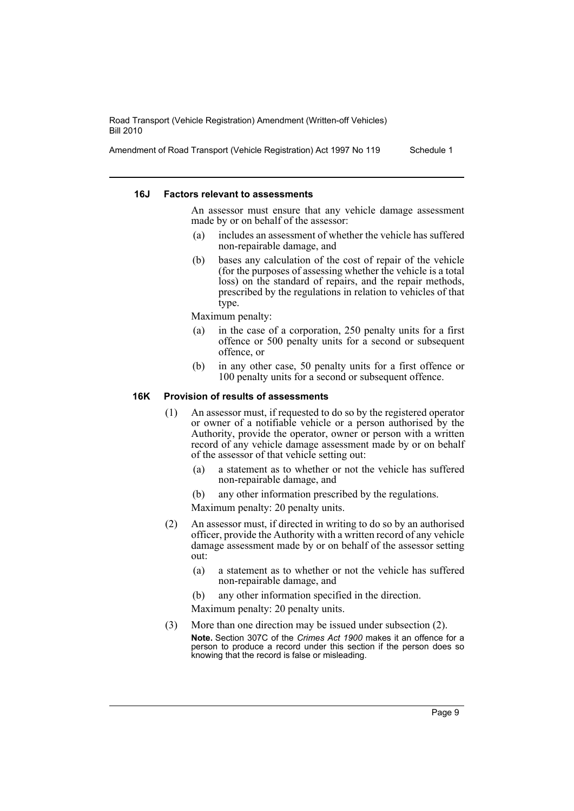Amendment of Road Transport (Vehicle Registration) Act 1997 No 119 Schedule 1

#### **16J Factors relevant to assessments**

An assessor must ensure that any vehicle damage assessment made by or on behalf of the assessor:

- (a) includes an assessment of whether the vehicle has suffered non-repairable damage, and
- (b) bases any calculation of the cost of repair of the vehicle (for the purposes of assessing whether the vehicle is a total loss) on the standard of repairs, and the repair methods, prescribed by the regulations in relation to vehicles of that type.

Maximum penalty:

- (a) in the case of a corporation, 250 penalty units for a first offence or 500 penalty units for a second or subsequent offence, or
- (b) in any other case, 50 penalty units for a first offence or 100 penalty units for a second or subsequent offence.

#### **16K Provision of results of assessments**

- (1) An assessor must, if requested to do so by the registered operator or owner of a notifiable vehicle or a person authorised by the Authority, provide the operator, owner or person with a written record of any vehicle damage assessment made by or on behalf of the assessor of that vehicle setting out:
	- (a) a statement as to whether or not the vehicle has suffered non-repairable damage, and
	- (b) any other information prescribed by the regulations.

Maximum penalty: 20 penalty units.

- (2) An assessor must, if directed in writing to do so by an authorised officer, provide the Authority with a written record of any vehicle damage assessment made by or on behalf of the assessor setting out:
	- (a) a statement as to whether or not the vehicle has suffered non-repairable damage, and
	- (b) any other information specified in the direction.

Maximum penalty: 20 penalty units.

(3) More than one direction may be issued under subsection (2). **Note.** Section 307C of the *Crimes Act 1900* makes it an offence for a person to produce a record under this section if the person does so knowing that the record is false or misleading.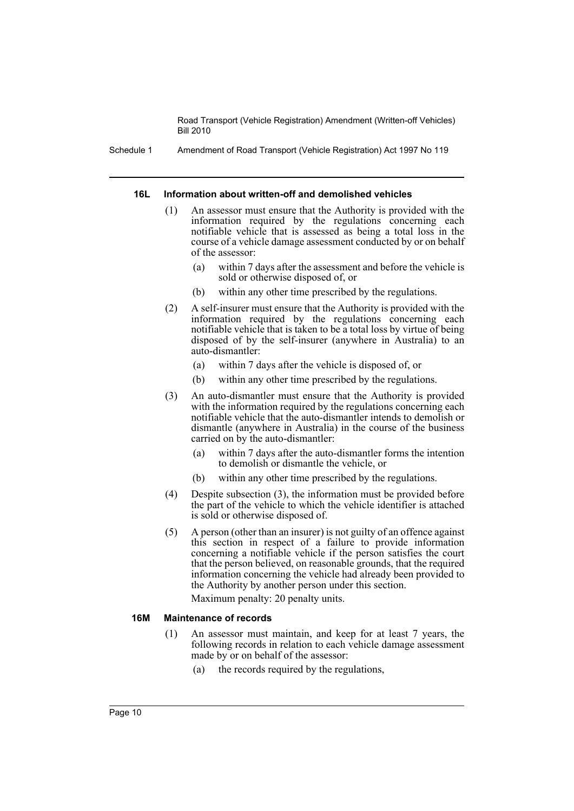Schedule 1 Amendment of Road Transport (Vehicle Registration) Act 1997 No 119

#### **16L Information about written-off and demolished vehicles**

- (1) An assessor must ensure that the Authority is provided with the information required by the regulations concerning each notifiable vehicle that is assessed as being a total loss in the course of a vehicle damage assessment conducted by or on behalf of the assessor:
	- within 7 days after the assessment and before the vehicle is sold or otherwise disposed of, or
	- (b) within any other time prescribed by the regulations.
- (2) A self-insurer must ensure that the Authority is provided with the information required by the regulations concerning each notifiable vehicle that is taken to be a total loss by virtue of being disposed of by the self-insurer (anywhere in Australia) to an auto-dismantler:
	- (a) within 7 days after the vehicle is disposed of, or
	- (b) within any other time prescribed by the regulations.
- (3) An auto-dismantler must ensure that the Authority is provided with the information required by the regulations concerning each notifiable vehicle that the auto-dismantler intends to demolish or dismantle (anywhere in Australia) in the course of the business carried on by the auto-dismantler:
	- (a) within 7 days after the auto-dismantler forms the intention to demolish or dismantle the vehicle, or
	- (b) within any other time prescribed by the regulations.
- (4) Despite subsection (3), the information must be provided before the part of the vehicle to which the vehicle identifier is attached is sold or otherwise disposed of.
- (5) A person (other than an insurer) is not guilty of an offence against this section in respect of a failure to provide information concerning a notifiable vehicle if the person satisfies the court that the person believed, on reasonable grounds, that the required information concerning the vehicle had already been provided to the Authority by another person under this section.

Maximum penalty: 20 penalty units.

## **16M Maintenance of records**

- (1) An assessor must maintain, and keep for at least 7 years, the following records in relation to each vehicle damage assessment made by or on behalf of the assessor:
	- (a) the records required by the regulations,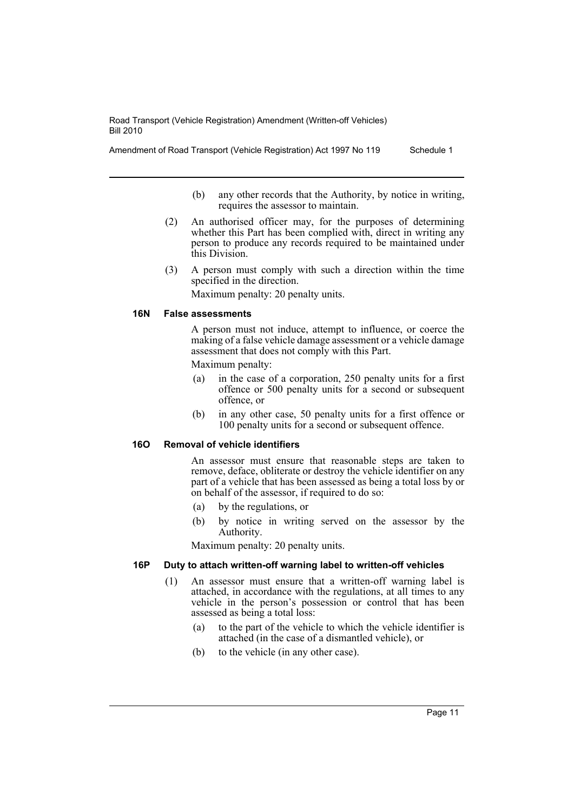Amendment of Road Transport (Vehicle Registration) Act 1997 No 119 Schedule 1

- (b) any other records that the Authority, by notice in writing, requires the assessor to maintain.
- (2) An authorised officer may, for the purposes of determining whether this Part has been complied with, direct in writing any person to produce any records required to be maintained under this Division.
- (3) A person must comply with such a direction within the time specified in the direction.

Maximum penalty: 20 penalty units.

#### **16N False assessments**

A person must not induce, attempt to influence, or coerce the making of a false vehicle damage assessment or a vehicle damage assessment that does not comply with this Part. Maximum penalty:

- (a) in the case of a corporation, 250 penalty units for a first offence or 500 penalty units for a second or subsequent offence, or
- (b) in any other case, 50 penalty units for a first offence or 100 penalty units for a second or subsequent offence.

## **16O Removal of vehicle identifiers**

An assessor must ensure that reasonable steps are taken to remove, deface, obliterate or destroy the vehicle identifier on any part of a vehicle that has been assessed as being a total loss by or on behalf of the assessor, if required to do so:

- (a) by the regulations, or
- (b) by notice in writing served on the assessor by the Authority.

Maximum penalty: 20 penalty units.

## **16P Duty to attach written-off warning label to written-off vehicles**

- (1) An assessor must ensure that a written-off warning label is attached, in accordance with the regulations, at all times to any vehicle in the person's possession or control that has been assessed as being a total loss:
	- (a) to the part of the vehicle to which the vehicle identifier is attached (in the case of a dismantled vehicle), or
	- (b) to the vehicle (in any other case).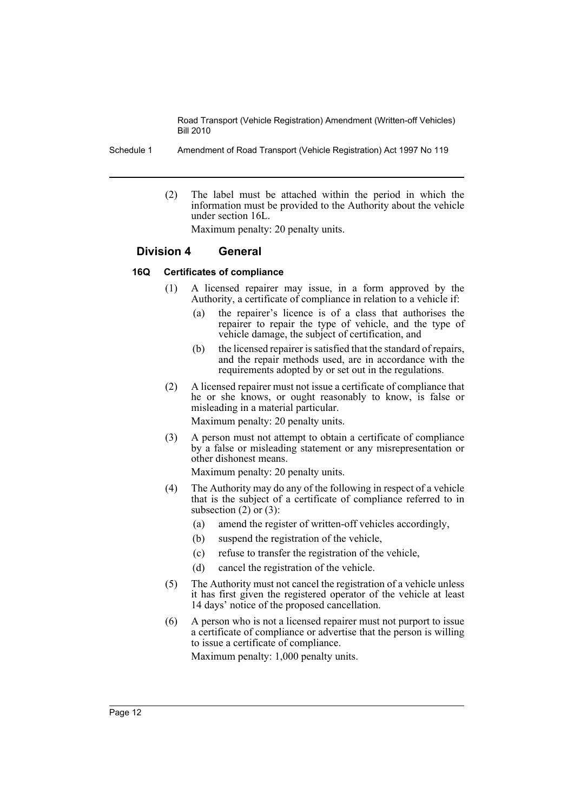Schedule 1 Amendment of Road Transport (Vehicle Registration) Act 1997 No 119

(2) The label must be attached within the period in which the information must be provided to the Authority about the vehicle under section 16L.

Maximum penalty: 20 penalty units.

## **Division 4 General**

#### **16Q Certificates of compliance**

- (1) A licensed repairer may issue, in a form approved by the Authority, a certificate of compliance in relation to a vehicle if:
	- (a) the repairer's licence is of a class that authorises the repairer to repair the type of vehicle, and the type of vehicle damage, the subject of certification, and
	- (b) the licensed repairer is satisfied that the standard of repairs, and the repair methods used, are in accordance with the requirements adopted by or set out in the regulations.
- (2) A licensed repairer must not issue a certificate of compliance that he or she knows, or ought reasonably to know, is false or misleading in a material particular.

Maximum penalty: 20 penalty units.

(3) A person must not attempt to obtain a certificate of compliance by a false or misleading statement or any misrepresentation or other dishonest means.

Maximum penalty: 20 penalty units.

- (4) The Authority may do any of the following in respect of a vehicle that is the subject of a certificate of compliance referred to in subsection  $(2)$  or  $(3)$ :
	- (a) amend the register of written-off vehicles accordingly,
	- (b) suspend the registration of the vehicle,
	- (c) refuse to transfer the registration of the vehicle,
	- (d) cancel the registration of the vehicle.
- (5) The Authority must not cancel the registration of a vehicle unless it has first given the registered operator of the vehicle at least 14 days' notice of the proposed cancellation.
- (6) A person who is not a licensed repairer must not purport to issue a certificate of compliance or advertise that the person is willing to issue a certificate of compliance.

Maximum penalty: 1,000 penalty units.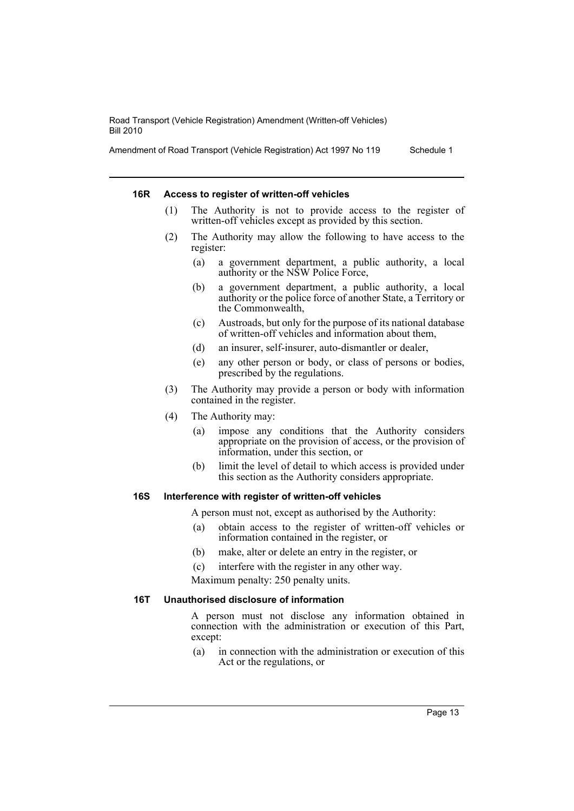Amendment of Road Transport (Vehicle Registration) Act 1997 No 119 Schedule 1

#### **16R Access to register of written-off vehicles**

- (1) The Authority is not to provide access to the register of written-off vehicles except as provided by this section.
- (2) The Authority may allow the following to have access to the register:
	- (a) a government department, a public authority, a local authority or the NSW Police Force,
	- (b) a government department, a public authority, a local authority or the police force of another State, a Territory or the Commonwealth,
	- (c) Austroads, but only for the purpose of its national database of written-off vehicles and information about them,
	- (d) an insurer, self-insurer, auto-dismantler or dealer,
	- (e) any other person or body, or class of persons or bodies, prescribed by the regulations.
- (3) The Authority may provide a person or body with information contained in the register.
- (4) The Authority may:
	- (a) impose any conditions that the Authority considers appropriate on the provision of access, or the provision of information, under this section, or
	- (b) limit the level of detail to which access is provided under this section as the Authority considers appropriate.

#### **16S Interference with register of written-off vehicles**

A person must not, except as authorised by the Authority:

- (a) obtain access to the register of written-off vehicles or information contained in the register, or
- (b) make, alter or delete an entry in the register, or
- (c) interfere with the register in any other way.

Maximum penalty: 250 penalty units.

#### **16T Unauthorised disclosure of information**

A person must not disclose any information obtained in connection with the administration or execution of this Part, except:

(a) in connection with the administration or execution of this Act or the regulations, or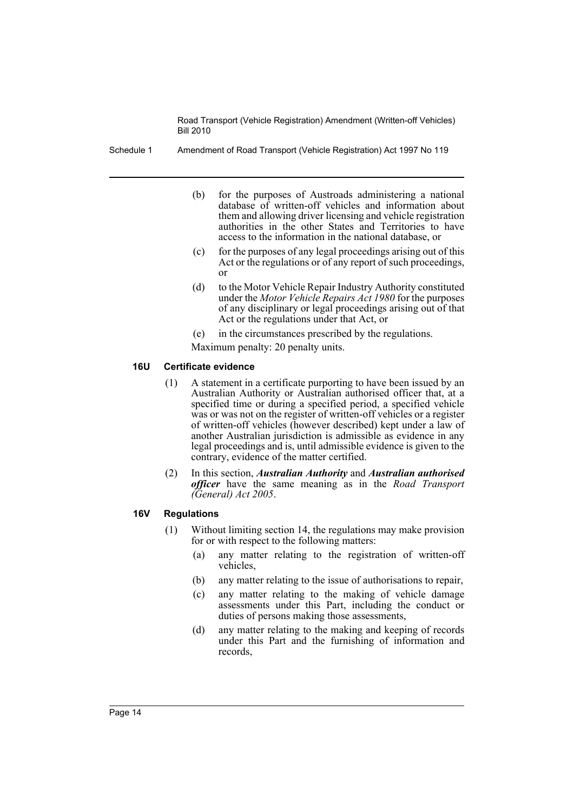Schedule 1 Amendment of Road Transport (Vehicle Registration) Act 1997 No 119

- (b) for the purposes of Austroads administering a national database of written-off vehicles and information about them and allowing driver licensing and vehicle registration authorities in the other States and Territories to have access to the information in the national database, or
- (c) for the purposes of any legal proceedings arising out of this Act or the regulations or of any report of such proceedings, or
- (d) to the Motor Vehicle Repair Industry Authority constituted under the *Motor Vehicle Repairs Act 1980* for the purposes of any disciplinary or legal proceedings arising out of that Act or the regulations under that Act, or
- (e) in the circumstances prescribed by the regulations.
- Maximum penalty: 20 penalty units.

## **16U Certificate evidence**

- (1) A statement in a certificate purporting to have been issued by an Australian Authority or Australian authorised officer that, at a specified time or during a specified period, a specified vehicle was or was not on the register of written-off vehicles or a register of written-off vehicles (however described) kept under a law of another Australian jurisdiction is admissible as evidence in any legal proceedings and is, until admissible evidence is given to the contrary, evidence of the matter certified.
- (2) In this section, *Australian Authority* and *Australian authorised officer* have the same meaning as in the *Road Transport (General) Act 2005*.

## **16V Regulations**

- (1) Without limiting section 14, the regulations may make provision for or with respect to the following matters:
	- (a) any matter relating to the registration of written-off vehicles,
	- (b) any matter relating to the issue of authorisations to repair,
	- (c) any matter relating to the making of vehicle damage assessments under this Part, including the conduct or duties of persons making those assessments,
	- (d) any matter relating to the making and keeping of records under this Part and the furnishing of information and records,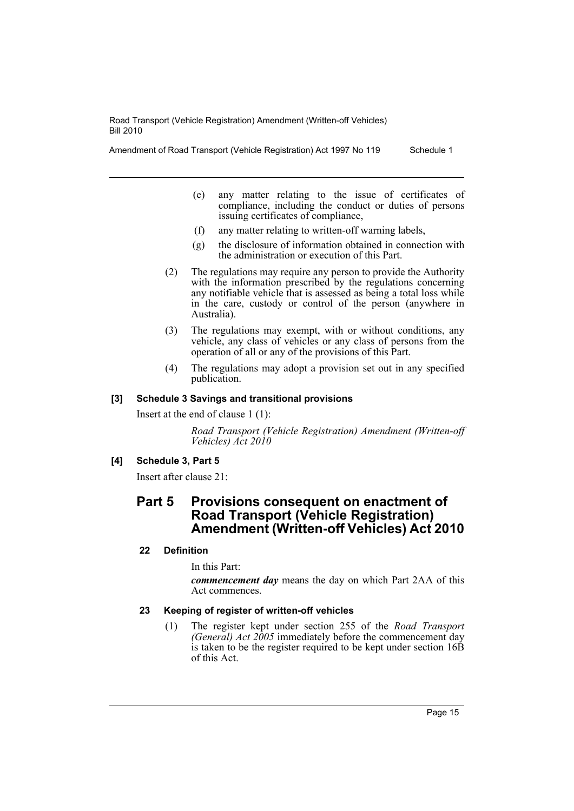Amendment of Road Transport (Vehicle Registration) Act 1997 No 119 Schedule 1

- (e) any matter relating to the issue of certificates of compliance, including the conduct or duties of persons issuing certificates of compliance,
- (f) any matter relating to written-off warning labels,
- (g) the disclosure of information obtained in connection with the administration or execution of this Part.
- (2) The regulations may require any person to provide the Authority with the information prescribed by the regulations concerning any notifiable vehicle that is assessed as being a total loss while in the care, custody or control of the person (anywhere in Australia).
- (3) The regulations may exempt, with or without conditions, any vehicle, any class of vehicles or any class of persons from the operation of all or any of the provisions of this Part.
- (4) The regulations may adopt a provision set out in any specified publication.

## **[3] Schedule 3 Savings and transitional provisions**

Insert at the end of clause 1 (1):

*Road Transport (Vehicle Registration) Amendment (Written-off Vehicles) Act 2010*

## **[4] Schedule 3, Part 5**

Insert after clause 21:

## **Part 5 Provisions consequent on enactment of Road Transport (Vehicle Registration) Amendment (Written-off Vehicles) Act 2010**

## **22 Definition**

In this Part:

*commencement day* means the day on which Part 2AA of this Act commences.

## **23 Keeping of register of written-off vehicles**

(1) The register kept under section 255 of the *Road Transport (General) Act 2005* immediately before the commencement day is taken to be the register required to be kept under section 16B of this Act.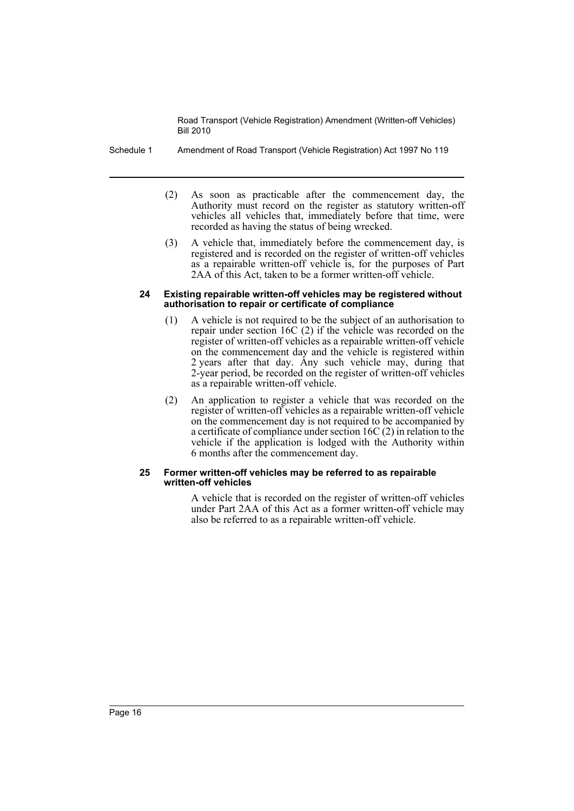- Schedule 1 Amendment of Road Transport (Vehicle Registration) Act 1997 No 119
	- (2) As soon as practicable after the commencement day, the Authority must record on the register as statutory written-off vehicles all vehicles that, immediately before that time, were recorded as having the status of being wrecked.
	- (3) A vehicle that, immediately before the commencement day, is registered and is recorded on the register of written-off vehicles as a repairable written-off vehicle is, for the purposes of Part 2AA of this Act, taken to be a former written-off vehicle.

#### **24 Existing repairable written-off vehicles may be registered without authorisation to repair or certificate of compliance**

- (1) A vehicle is not required to be the subject of an authorisation to repair under section 16C (2) if the vehicle was recorded on the register of written-off vehicles as a repairable written-off vehicle on the commencement day and the vehicle is registered within 2 years after that day. Any such vehicle may, during that 2-year period, be recorded on the register of written-off vehicles as a repairable written-off vehicle.
- (2) An application to register a vehicle that was recorded on the register of written-off vehicles as a repairable written-off vehicle on the commencement day is not required to be accompanied by a certificate of compliance under section 16C (2) in relation to the vehicle if the application is lodged with the Authority within 6 months after the commencement day.

#### **25 Former written-off vehicles may be referred to as repairable written-off vehicles**

A vehicle that is recorded on the register of written-off vehicles under Part 2AA of this Act as a former written-off vehicle may also be referred to as a repairable written-off vehicle.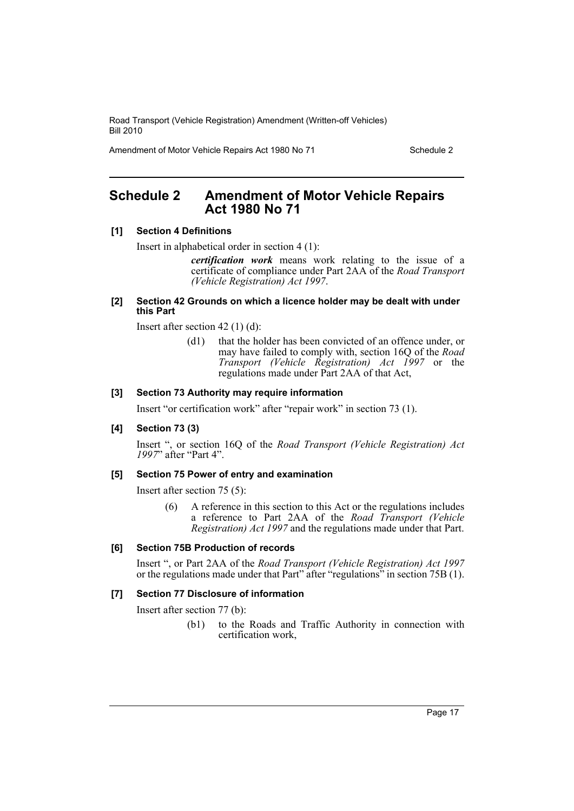Amendment of Motor Vehicle Repairs Act 1980 No 71 Schedule 2

## <span id="page-17-0"></span>**Schedule 2 Amendment of Motor Vehicle Repairs Act 1980 No 71**

## **[1] Section 4 Definitions**

Insert in alphabetical order in section 4 (1):

*certification work* means work relating to the issue of a certificate of compliance under Part 2AA of the *Road Transport (Vehicle Registration) Act 1997*.

#### **[2] Section 42 Grounds on which a licence holder may be dealt with under this Part**

Insert after section 42 (1) (d):

(d1) that the holder has been convicted of an offence under, or may have failed to comply with, section 16Q of the *Road Transport (Vehicle Registration) Act 1997* or the regulations made under Part 2AA of that Act,

#### **[3] Section 73 Authority may require information**

Insert "or certification work" after "repair work" in section 73 (1).

#### **[4] Section 73 (3)**

Insert ", or section 16Q of the *Road Transport (Vehicle Registration) Act 1997*" after "Part 4".

#### **[5] Section 75 Power of entry and examination**

Insert after section 75 (5):

(6) A reference in this section to this Act or the regulations includes a reference to Part 2AA of the *Road Transport (Vehicle Registration) Act 1997* and the regulations made under that Part.

#### **[6] Section 75B Production of records**

Insert ", or Part 2AA of the *Road Transport (Vehicle Registration) Act 1997* or the regulations made under that Part" after "regulations" in section 75B (1).

## **[7] Section 77 Disclosure of information**

Insert after section 77 (b):

(b1) to the Roads and Traffic Authority in connection with certification work,